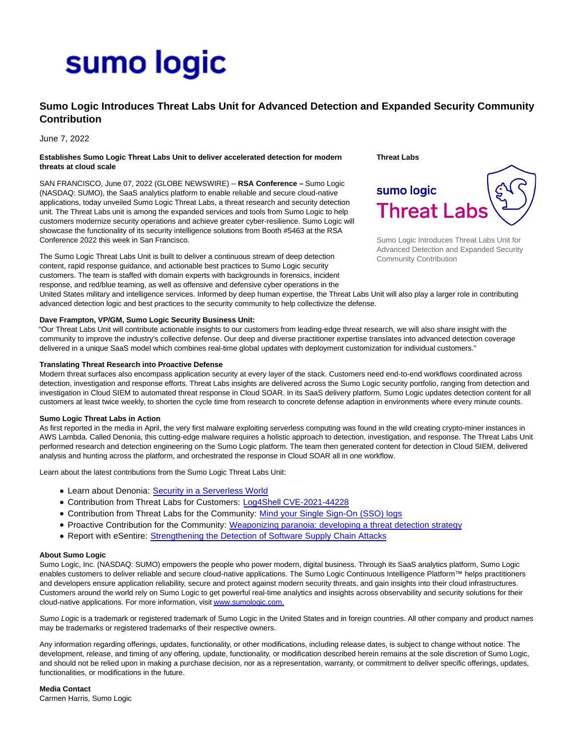# sumo logic

# **Sumo Logic Introduces Threat Labs Unit for Advanced Detection and Expanded Security Community Contribution**

# June 7, 2022

### **Establishes Sumo Logic Threat Labs Unit to deliver accelerated detection for modern threats at cloud scale**

SAN FRANCISCO, June 07, 2022 (GLOBE NEWSWIRE) -- **RSA Conference –** Sumo Logic (NASDAQ: SUMO), the SaaS analytics platform to enable reliable and secure cloud-native applications, today unveiled Sumo Logic Threat Labs, a threat research and security detection unit. The Threat Labs unit is among the expanded services and tools from Sumo Logic to help customers modernize security operations and achieve greater cyber-resilience. Sumo Logic will showcase the functionality of its security intelligence solutions from Booth #5463 at the RSA Conference 2022 this week in San Francisco.

The Sumo Logic Threat Labs Unit is built to deliver a continuous stream of deep detection content, rapid response guidance, and actionable best practices to Sumo Logic security customers. The team is staffed with domain experts with backgrounds in forensics, incident response, and red/blue teaming, as well as offensive and defensive cyber operations in the **Threat Labs**



Sumo Logic Introduces Threat Labs Unit for Advanced Detection and Expanded Security Community Contribution

United States military and intelligence services. Informed by deep human expertise, the Threat Labs Unit will also play a larger role in contributing advanced detection logic and best practices to the security community to help collectivize the defense.

## **Dave Frampton, VP/GM, Sumo Logic Security Business Unit:**

"Our Threat Labs Unit will contribute actionable insights to our customers from leading-edge threat research, we will also share insight with the community to improve the industry's collective defense. Our deep and diverse practitioner expertise translates into advanced detection coverage delivered in a unique SaaS model which combines real-time global updates with deployment customization for individual customers."

#### **Translating Threat Research into Proactive Defense**

Modern threat surfaces also encompass application security at every layer of the stack. Customers need end-to-end workflows coordinated across detection, investigation and response efforts. Threat Labs insights are delivered across the Sumo Logic security portfolio, ranging from detection and investigation in Cloud SIEM to automated threat response in Cloud SOAR. In its SaaS delivery platform, Sumo Logic updates detection content for all customers at least twice weekly, to shorten the cycle time from research to concrete defense adaption in environments where every minute counts.

#### **Sumo Logic Threat Labs in Action**

As first reported in the media in April, the very first malware exploiting serverless computing was found in the wild creating crypto-miner instances in AWS Lambda. Called Denonia, this cutting-edge malware requires a holistic approach to detection, investigation, and response. The Threat Labs Unit performed research and detection engineering on the Sumo Logic platform. The team then generated content for detection in Cloud SIEM, delivered analysis and hunting across the platform, and orchestrated the response in Cloud SOAR all in one workflow.

Learn about the latest contributions from the Sumo Logic Threat Labs Unit:

- Learn about Denonia: [Security in a Serverless World](https://www.sumologic.com/blog/security-in-serverless-lambda-world)
- Contribution from Threat Labs for Customers: [Log4Shell CVE-2021-44228](https://www.sumologic.com/blog/log4shell-cve-2021-44228/)
- Contribution from Threat Labs for the Community: [Mind your Single Sign-On \(SSO\) logs](https://www.sumologic.com/blog/mind-your-single-sign-on-sso-logs/)
- Proactive Contribution for the Community: [Weaponizing paranoia: developing a threat detection strategy](https://www.sumologic.com/blog/weaponizing-paranoia-developing-a-threat-detection-strategy/)
- Report with eSentire: [Strengthening the Detection of Software Supply Chain Attacks](https://www.esentire.com/resources/library/strengthening-the-detection-of-software-supply-chain-attacks)

#### **About Sumo Logic**

Sumo Logic, Inc. (NASDAQ: SUMO) empowers the people who power modern, digital business. Through its SaaS analytics platform, Sumo Logic enables customers to deliver reliable and secure cloud-native applications. The Sumo Logic Continuous Intelligence Platform™ helps practitioners and developers ensure application reliability, secure and protect against modern security threats, and gain insights into their cloud infrastructures. Customers around the world rely on Sumo Logic to get powerful real-time analytics and insights across observability and security solutions for their cloud-native applications. For more information, visi[t www.sumologic.com.](https://www.globenewswire.com/Tracker?data=6_a_MhyAXctP1uPH30Rg3yTdtdrQQ9eUOsKPHWdzEA2kktBVAlbPcGGA7WHeeFmFyWtVgX6klTIyPDYhInSv-8hGEtDfLLHNImAKLU2iycE=)

Sumo Logic is a trademark or registered trademark of Sumo Logic in the United States and in foreign countries. All other company and product names may be trademarks or registered trademarks of their respective owners.

Any information regarding offerings, updates, functionality, or other modifications, including release dates, is subject to change without notice. The development, release, and timing of any offering, update, functionality, or modification described herein remains at the sole discretion of Sumo Logic, and should not be relied upon in making a purchase decision, nor as a representation, warranty, or commitment to deliver specific offerings, updates, functionalities, or modifications in the future.

**Media Contact** Carmen Harris, Sumo Logic